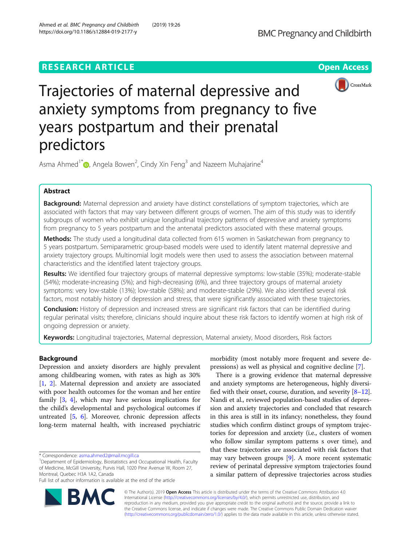# **RESEARCH ARTICLE Example 2018 12:30 THE Open Access**





Trajectories of maternal depressive and anxiety symptoms from pregnancy to five years postpartum and their prenatal predictors

Asma Ahmed<sup>1[\\*](http://orcid.org/0000-0001-8690-2264)</sup> $\textsf{\textcirc}$ , Angela Bowen<sup>2</sup>, Cindy Xin Feng<sup>3</sup> and Nazeem Muhajarine<sup>4</sup>

## Abstract

Background: Maternal depression and anxiety have distinct constellations of symptom trajectories, which are associated with factors that may vary between different groups of women. The aim of this study was to identify subgroups of women who exhibit unique longitudinal trajectory patterns of depressive and anxiety symptoms from pregnancy to 5 years postpartum and the antenatal predictors associated with these maternal groups.

Methods: The study used a longitudinal data collected from 615 women in Saskatchewan from pregnancy to 5 years postpartum. Semiparametric group-based models were used to identify latent maternal depressive and anxiety trajectory groups. Multinomial logit models were then used to assess the association between maternal characteristics and the identified latent trajectory groups.

Results: We identified four trajectory groups of maternal depressive symptoms: low-stable (35%); moderate-stable (54%); moderate-increasing (5%); and high-decreasing (6%), and three trajectory groups of maternal anxiety symptoms: very low-stable (13%); low-stable (58%); and moderate-stable (29%). We also identified several risk factors, most notably history of depression and stress, that were significantly associated with these trajectories.

**Conclusion:** History of depression and increased stress are significant risk factors that can be identified during regular perinatal visits; therefore, clinicians should inquire about these risk factors to identify women at high risk of ongoing depression or anxiety.

Keywords: Longitudinal trajectories, Maternal depression, Maternal anxiety, Mood disorders, Risk factors

## Background

Depression and anxiety disorders are highly prevalent among childbearing women, with rates as high as 30% [[1,](#page-8-0) [2\]](#page-8-0). Maternal depression and anxiety are associated with poor health outcomes for the woman and her entire family [[3,](#page-8-0) [4](#page-8-0)], which may have serious implications for the child's developmental and psychological outcomes if untreated [\[5](#page-8-0), [6\]](#page-8-0). Moreover, chronic depression affects long-term maternal health, with increased psychiatric

Full list of author information is available at the end of the article

morbidity (most notably more frequent and severe depressions) as well as physical and cognitive decline [[7\]](#page-8-0).

There is a growing evidence that maternal depressive and anxiety symptoms are heterogeneous, highly diversified with their onset, course, duration, and severity  $[8-12]$  $[8-12]$  $[8-12]$  $[8-12]$ . Nandi et al., reviewed population-based studies of depression and anxiety trajectories and concluded that research in this area is still in its infancy; nonetheless, they found studies which confirm distinct groups of symptom trajectories for depression and anxiety (i.e., clusters of women who follow similar symptom patterns s over time), and that these trajectories are associated with risk factors that may vary between groups [[9\]](#page-8-0). A more recent systematic review of perinatal depressive symptom trajectories found a similar pattern of depressive trajectories across studies



© The Author(s). 2019 Open Access This article is distributed under the terms of the Creative Commons Attribution 4.0 International License [\(http://creativecommons.org/licenses/by/4.0/](http://creativecommons.org/licenses/by/4.0/)), which permits unrestricted use, distribution, and reproduction in any medium, provided you give appropriate credit to the original author(s) and the source, provide a link to the Creative Commons license, and indicate if changes were made. The Creative Commons Public Domain Dedication waiver [\(http://creativecommons.org/publicdomain/zero/1.0/](http://creativecommons.org/publicdomain/zero/1.0/)) applies to the data made available in this article, unless otherwise stated.

<sup>\*</sup> Correspondence: [asma.ahmed2@mail.mcgill.ca](mailto:asma.ahmed2@mail.mcgill.ca) <sup>1</sup>

<sup>&</sup>lt;sup>1</sup>Department of Epidemiology, Biostatistics and Occupational Health, Faculty of Medicine, McGill University, Purvis Hall, 1020 Pine Avenue W, Room 27, Montreal, Quebec H3A 1A2, Canada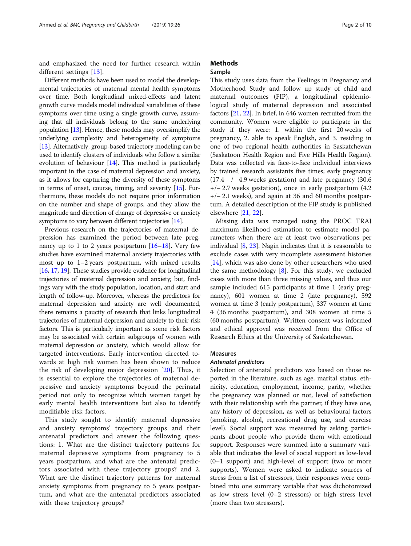and emphasized the need for further research within different settings [[13\]](#page-8-0).

Different methods have been used to model the developmental trajectories of maternal mental health symptoms over time. Both longitudinal mixed-effects and latent growth curve models model individual variabilities of these symptoms over time using a single growth curve, assuming that all individuals belong to the same underlying population [\[13\]](#page-8-0). Hence, these models may oversimplify the underlying complexity and heterogeneity of symptoms [[13](#page-8-0)]. Alternatively, group-based trajectory modeling can be used to identify clusters of individuals who follow a similar evolution of behaviour [\[14\]](#page-8-0). This method is particularly important in the case of maternal depression and anxiety, as it allows for capturing the diversity of these symptoms in terms of onset, course, timing, and severity [[15](#page-8-0)]. Furthermore, these models do not require prior information on the number and shape of groups, and they allow the magnitude and direction of change of depressive or anxiety symptoms to vary between different trajectories [\[14\]](#page-8-0).

Previous research on the trajectories of maternal depression has examined the period between late pregnancy up to 1 to 2 years postpartum  $[16–18]$  $[16–18]$  $[16–18]$  $[16–18]$  $[16–18]$ . Very few studies have examined maternal anxiety trajectories with most up to 1–2 years postpartum, with mixed results [[16](#page-8-0), [17](#page-8-0), [19](#page-9-0)]. These studies provide evidence for longitudinal trajectories of maternal depression and anxiety; but, findings vary with the study population, location, and start and length of follow-up. Moreover, whereas the predictors for maternal depression and anxiety are well documented, there remains a paucity of research that links longitudinal trajectories of maternal depression and anxiety to their risk factors. This is particularly important as some risk factors may be associated with certain subgroups of women with maternal depression or anxiety, which would allow for targeted interventions. Early intervention directed towards at high risk women has been shown to reduce the risk of developing major depression [[20\]](#page-9-0). Thus, it is essential to explore the trajectories of maternal depressive and anxiety symptoms beyond the perinatal period not only to recognize which women target by early mental health interventions but also to identify modifiable risk factors.

This study sought to identify maternal depressive and anxiety symptoms' trajectory groups and their antenatal predictors and answer the following questions: 1. What are the distinct trajectory patterns for maternal depressive symptoms from pregnancy to 5 years postpartum, and what are the antenatal predictors associated with these trajectory groups? and 2. What are the distinct trajectory patterns for maternal anxiety symptoms from pregnancy to 5 years postpartum, and what are the antenatal predictors associated with these trajectory groups?

## **Methods**

## Sample

This study uses data from the Feelings in Pregnancy and Motherhood Study and follow up study of child and maternal outcomes (FIP), a longitudinal epidemiological study of maternal depression and associated factors [\[21](#page-9-0), [22\]](#page-9-0). In brief, in 646 women recruited from the community. Women were eligible to participate in the study if they were: 1. within the first 20 weeks of pregnancy, 2. able to speak English, and 3. residing in one of two regional health authorities in Saskatchewan (Saskatoon Health Region and Five Hills Health Region). Data was collected via face-to-face individual interviews by trained research assistants five times; early pregnancy (17.4 +/− 4.9 weeks gestation) and late pregnancy (30.6 +/− 2.7 weeks gestation), once in early postpartum (4.2 +/− 2.1 weeks), and again at 36 and 60 months postpartum. A detailed description of the FIP study is published elsewhere [\[21](#page-9-0), [22](#page-9-0)].

Missing data was managed using the PROC TRAJ maximum likelihood estimation to estimate model parameters when there are at least two observations per individual  $[8, 23]$  $[8, 23]$  $[8, 23]$  $[8, 23]$ . Nagin indicates that it is reasonable to exclude cases with very incomplete assessment histories [[14\]](#page-8-0), which was also done by other researchers who used the same methodology [\[8](#page-8-0)]. For this study, we excluded cases with more than three missing values, and thus our sample included 615 participants at time 1 (early pregnancy), 601 women at time 2 (late pregnancy), 592 women at time 3 (early postpartum), 337 women at time 4 (36 months postpartum), and 308 women at time 5 (60 months postpartum). Written consent was informed and ethical approval was received from the Office of Research Ethics at the University of Saskatchewan.

## Measures

#### Antenatal predictors

Selection of antenatal predictors was based on those reported in the literature, such as age, marital status, ethnicity, education, employment, income, parity, whether the pregnancy was planned or not, level of satisfaction with their relationship with the partner, if they have one, any history of depression, as well as behavioural factors (smoking, alcohol, recreational drug use, and exercise level). Social support was measured by asking participants about people who provide them with emotional support. Responses were summed into a summary variable that indicates the level of social support as low-level (0–1 support) and high-level of support (two or more supports). Women were asked to indicate sources of stress from a list of stressors, their responses were combined into one summary variable that was dichotomized as low stress level (0–2 stressors) or high stress level (more than two stressors).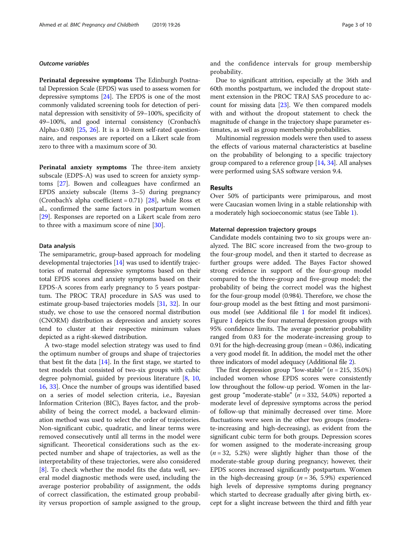## Outcome variables

Perinatal depressive symptoms The Edinburgh Postnatal Depression Scale (EPDS) was used to assess women for depressive symptoms [\[24](#page-9-0)]. The EPDS is one of the most commonly validated screening tools for detection of perinatal depression with sensitivity of 59–100%, specificity of 49–100%, and good internal consistency (Cronbach's Alpha> 0.80) [\[25,](#page-9-0) [26\]](#page-9-0). It is a 10-item self-rated questionnaire, and responses are reported on a Likert scale from zero to three with a maximum score of 30.

Perinatal anxiety symptoms The three-item anxiety subscale (EDPS-A) was used to screen for anxiety symptoms [[27\]](#page-9-0). Bowen and colleagues have confirmed an EPDS anxiety subscale (Items 3–5) during pregnancy (Cronbach's alpha coefficient =  $0.71$ ) [[28](#page-9-0)], while Ross et al., confirmed the same factors in postpartum women [[29\]](#page-9-0). Responses are reported on a Likert scale from zero to three with a maximum score of nine [[30\]](#page-9-0).

## Data analysis

The semiparametric, group-based approach for modeling developmental trajectories [[14](#page-8-0)] was used to identify trajectories of maternal depressive symptoms based on their total EPDS scores and anxiety symptoms based on their EPDS-A scores from early pregnancy to 5 years postpartum. The PROC TRAJ procedure in SAS was used to estimate group-based trajectories models [[31](#page-9-0), [32\]](#page-9-0). In our study, we chose to use the censored normal distribution (CNORM) distribution as depression and anxiety scores tend to cluster at their respective minimum values depicted as a right-skewed distribution.

A two-stage model selection strategy was used to find the optimum number of groups and shape of trajectories that best fit the data  $[14]$  $[14]$ . In the first stage, we started to test models that consisted of two-six groups with cubic degree polynomial, guided by previous literature [\[8](#page-8-0), [10](#page-8-0), [16,](#page-8-0) [33\]](#page-9-0). Once the number of groups was identified based on a series of model selection criteria, i.e., Bayesian Information Criterion (BIC), Bayes factor, and the probability of being the correct model, a backward elimination method was used to select the order of trajectories. Non-significant cubic, quadratic, and linear terms were removed consecutively until all terms in the model were significant. Theoretical considerations such as the expected number and shape of trajectories, as well as the interpretability of these trajectories, were also considered [[8\]](#page-8-0). To check whether the model fits the data well, several model diagnostic methods were used, including the average posterior probability of assignment, the odds of correct classification, the estimated group probability versus proportion of sample assigned to the group, and the confidence intervals for group membership probability.

Due to significant attrition, especially at the 36th and 60th months postpartum, we included the dropout statement extension in the PROC TRAJ SAS procedure to account for missing data [\[23\]](#page-9-0). We then compared models with and without the dropout statement to check the magnitude of change in the trajectory shape parameter estimates, as well as group membership probabilities.

Multinomial regression models were then used to assess the effects of various maternal characteristics at baseline on the probability of belonging to a specific trajectory group compared to a reference group [[14,](#page-8-0) [34\]](#page-9-0). All analyses were performed using SAS software version 9.4.

## Results

Over 50% of participants were primiparous, and most were Caucasian women living in a stable relationship with a moderately high socioeconomic status (see Table [1\)](#page-3-0).

## Maternal depression trajectory groups

Candidate models containing two to six groups were analyzed. The BIC score increased from the two-group to the four-group model, and then it started to decrease as further groups were added. The Bayes Factor showed strong evidence in support of the four-group model compared to the three-group and five-group model; the probability of being the correct model was the highest for the four-group model (0.984). Therefore, we chose the four-group model as the best fitting and most parsimonious model (see Additional file [1](#page-7-0) for model fit indices). Figure [1](#page-5-0) depicts the four maternal depression groups with 95% confidence limits. The average posterior probability ranged from 0.83 for the moderate-increasing group to 0.91 for the high-decreasing group (mean  $= 0.86$ ), indicating a very good model fit. In addition, the model met the other three indicators of model adequacy (Additional file [2\)](#page-7-0).

The first depression group "low-stable" ( $n = 215, 35.0\%$ ) included women whose EPDS scores were consistently low throughout the follow-up period. Women in the largest group "moderate-stable" ( $n = 332, 54.0\%$ ) reported a moderate level of depressive symptoms across the period of follow-up that minimally decreased over time. More fluctuations were seen in the other two groups (moderate-increasing and high-decreasing), as evident from the significant cubic term for both groups. Depression scores for women assigned to the moderate-increasing group  $(n = 32, 5.2%)$  were slightly higher than those of the moderate-stable group during pregnancy; however, their EPDS scores increased significantly postpartum. Women in the high-decreasing group ( $n = 36, 5.9%$ ) experienced high levels of depressive symptoms during pregnancy which started to decrease gradually after giving birth, except for a slight increase between the third and fifth year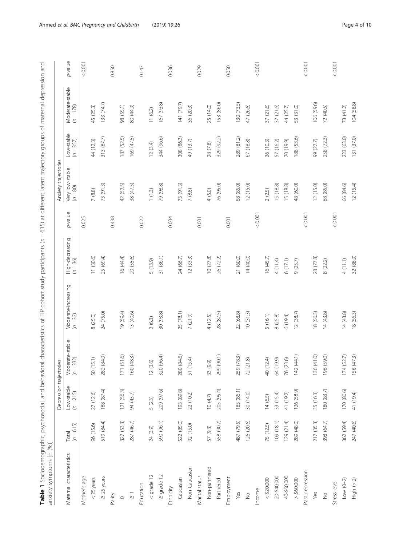<span id="page-3-0"></span>Table 1 Sociodemographic, psychosocial, and behavioral characteristics of FIP cohort study participants (n = 615) at different latent trajectory groups of maternal depression and Table 1 Sociodemographic, psychosocial, and behavioral characteristics of FIP cohort study participants (n = 615) at different latent trajectory groups of maternal depression and

| anxiety symptoms [n (%)] |                      |                           |                                |                                   |                             |         |                               |                               |                                |         |
|--------------------------|----------------------|---------------------------|--------------------------------|-----------------------------------|-----------------------------|---------|-------------------------------|-------------------------------|--------------------------------|---------|
|                          |                      | Depression trajectories   |                                |                                   |                             |         | Anxiety trajectories          |                               |                                |         |
| Maternal characteristics | $(n = 615)$<br>Total | Low-stable<br>$(n = 215)$ | Moderate-stable<br>$(n = 332)$ | Moderate-increasing<br>$(n = 32)$ | High-decreasing<br>(n = 36) | p-value | Very low-stable<br>$(n = 80)$ | $Low-stable$<br>( $n = 357$ ) | Moderate-stable<br>$(n = 178)$ | p-value |
| Mother's age             |                      |                           |                                |                                   |                             | 0.025   |                               |                               |                                | < 0.001 |
| $<$ 25 years             | 96 (15.6)            | 27 (12.6)                 | 50 (15.1)                      | 8 (25.0)                          | 11 (30.6)                   |         | $7\ (8.8)$                    | 44(12.3)                      | 45 (25.3)                      |         |
| $\geq$ 25 years          | 519 (84.4)           | 188 (87.4)                | 282 (84.9)                     | 24 (75.0)                         | 25 (69.4)                   |         | 73 (91.3)                     | 313 (87.7)                    | 133 (74.7)                     |         |
| Parity                   |                      |                           |                                |                                   |                             | 0.438   |                               |                               |                                | 0.850   |
| $\circ$                  | 327 (53.3)           | 121 (56.3)                | 171(51.6)                      | 19 (59.4)                         | 16 (44.4)                   |         | 42 (52.5)                     | 187 (52.5)                    | 98 (55.1)                      |         |
| $\frac{1}{\sqrt{2}}$     | 287 (46.7)           | 94 (43.7)                 | 160 (48.3)                     | 13 (40.6)                         | 20 (55.6)                   |         | 38 (47.5)                     | 169 (47.5)                    | 80 (44.9)                      |         |
| Education                |                      |                           |                                |                                   |                             | 0.022   |                               |                               |                                | 0.147   |
| $<$ grade 12             | 24 (3.9)             | 5 (2.3)                   | (3.6)<br>$\supseteq$           | 2(6.3)                            | 5 (13.9)                    |         | 1(1.3)                        | 12(3.4)                       | 11(6.2)                        |         |
| $\geq$ grade 12          | 590 (96.1)           | 209 (97.6)                | 320 (96.4)                     | 30 (93.8)                         | 31 (86.1)                   |         | 79 (98.8)                     | 344 (96.6)                    | 167 (93.8)                     |         |
| Ethnicity                |                      |                           |                                |                                   |                             | 0.004   |                               |                               |                                | 0.036   |
| Caucasian                | 522 (85.0)           | 193 (89.8)                | 280 (84.6)                     | 25 (78.1)                         | 24 (66.7)                   |         | 73 (91.3)                     | 308 (86.3)                    | 141 (79.7)                     |         |
| Non-Caucasian            | 92 (15.0)            | 22 (10.2)                 | (15.4)<br>$\overline{5}$       | 7(21.9)                           | 12(33.3)                    |         | $7\ (8.8)$                    | 49 (13.7)                     | 36 (20.3)                      |         |
| Marital status           |                      |                           |                                |                                   |                             | 0.001   |                               |                               |                                | 0.029   |
| Non-partnered            | 57 (9.3)             | 10(4.7)                   | (9.9)<br>33                    | 4 (12.5)                          | 10(27.8)                    |         | 4(5.0)                        | 28 (7.8)                      | 25 (14.0)                      |         |
| Partnered                | 558 (90.7)           | 205 (95.4)                | 299 (90.1)                     | 28 (87.5)                         | 26 (72.2)                   |         | 76 (95.0)                     | 329 (92.2)                    | 153 (86.0)                     |         |
| Employment               |                      |                           |                                |                                   |                             | 0.001   |                               |                               |                                | 0.050   |
| Yes                      | 487 (79.5)           | 185 (86.1)                | 259 (78.3)                     | 22 (68.8)                         | 21 (60.0)                   |         | 68 (85.0)                     | 289 (81.2)                    | 130 (73.5)                     |         |
| $\frac{\circ}{\sim}$     | 126 (20.6)           | 30 (14.0)                 | (21.8)<br>$\overline{z}$       | 10(31.3)                          | 14 (40.0)                   |         | 12 (15.0)                     | 67 (18.8)                     | 47 (26.6)                      |         |
| Income                   |                      |                           |                                |                                   |                             | 10000   |                               |                               |                                | < 0.001 |
| < \$20,000               | 75 (12.5)            | 14(6.5)                   | (12.4)<br>$\sqrt{4}$           | 5(16.1)                           | 16 (45.7)                   |         | 2(2.5)                        | 36 (10.3)                     | 37 (21.6)                      |         |
| 20-\$40,000              | 109 (18.1)           | 33 (15.4)                 | (19.9)<br>$\mathcal{Q}$        | 8 (25.8)                          | 4 (11.4)                    |         | 15 (18.8)                     | 57 (16.2)                     | 37 (21.6)                      |         |
| 40-\$60,000              | 129 (21.4)           | 41 (19.2)                 | (23.6)<br>$\geq$               | 6 (19.4)                          | 6(17.1)                     |         | 15 (18.8)                     | 70 (19.9)                     | 44 (25.7)                      |         |
| > \$60,000               | 289 (48.0)           | 126 (58.9)                | 142 (44.1)                     | 12(38.7)                          | 9(25.7)                     |         | 48 (60.0)                     | 188 (53.6)                    | 53 (31.0)                      |         |
| Past depression          |                      |                           |                                |                                   |                             | 0.001   |                               |                               |                                | < 0.001 |
| Yes                      | 217 (35.3)           | 35 (16.3)                 | 136(41.0)                      | 8 (56.3)                          | 28 (77.8)                   |         | 12(15.0)                      | 99 (27.7)                     | 106 (59.6)                     |         |
| $\frac{\circ}{\sim}$     | 398 (64.7)           | 180 (83.7)                | 196 (59.0)                     | 14(43.8)                          | 8(22.2)                     |         | 68 (85.0)                     | 258 (72.3)                    | 72 (40.5)                      |         |
| Stress level             |                      |                           |                                |                                   |                             | 10000   |                               |                               |                                | 0.001   |
| Low $(0-2)$              | 362 (59.4)           | 170 (80.6)                | 174(52.7)                      | 14(43.8)                          | 4(11.1)                     |         | 66 (84.6)                     | 223 (63.0)                    | 73 (41.2)                      |         |
| High $(>2)$              | 247 (40.6)           | 41 (19.4)                 | 156 (47.3)                     | 18 (56.3)                         | 32(88.9)                    |         | 12(15.4)                      | 131 (37.0)                    | 104 (58.8)                     |         |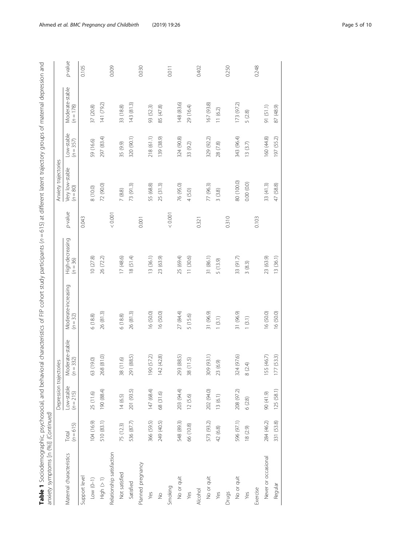Table 1 Sociodemographic, psychosocial, and behavioral characteristics of FIP cohort study participants (n = 615) at different latent trajectory groups of maternal depression and Table 1 Sociodemographic, psychosocial, and behavioral characteristics of FIP cohort study participants (n = 615) at different latent trajectory groups of maternal depression and

| anxiety symptoms [n (%)] (Continued) |                      |                           |                              |                                   |                               |         |                               |                           |                                |         |
|--------------------------------------|----------------------|---------------------------|------------------------------|-----------------------------------|-------------------------------|---------|-------------------------------|---------------------------|--------------------------------|---------|
|                                      |                      | Depression trajectories   |                              |                                   |                               |         | Anxiety trajectories          |                           |                                |         |
| Maternal characteristics             | $(n = 615)$<br>Total | Low-stable<br>$(n = 215)$ | Moderate-stable<br>(n = 332) | Moderate-increasing<br>$(n = 32)$ | High-decreasing<br>$(n = 36)$ | p-value | Very low-stable<br>$(n = 80)$ | Low-stable<br>$(n = 357)$ | Moderate-stable<br>$(n = 178)$ | p-value |
| Support level                        |                      |                           |                              |                                   |                               | 0.043   |                               |                           |                                | 0.105   |
| Low $(0-1)$                          | 104 (16.9)           | 25 (11.6)                 | (19.0)<br>63                 | 6(18.8)                           | 10(27.8)                      |         | 8 (10.0)                      | 59 (16.6)                 | 37 (20.8)                      |         |
| High $(>1)$                          | 510 (83.1)           | 190 (88.4)                | 268 (81.0)                   | 26 (81.3)                         | 26 (72.2)                     |         | 72 (90.0)                     | 297 (83.4)                | 141 (79.2)                     |         |
| Relationship satisfaction            |                      |                           |                              |                                   |                               | 0.001   |                               |                           |                                | 0.009   |
| Not satisfied                        | 75 (12.3)            | 14(6.5)                   | 38 (11.6)                    | 6(18.8)                           | 17 (48.6)                     |         | 7(8.8)                        | 35 (9.9)                  | 33 (18.8)                      |         |
| Satisfied                            | 536 (87.7)           | 201 (93.5)                | 291 (88.5)                   | 26 (81.3)                         | (51.4)                        |         | 73 (91.3)                     | 320 (90.1)                | 143(81.3)                      |         |
| Planned pregnancy                    |                      |                           |                              |                                   |                               | 0.001   |                               |                           |                                | 0.030   |
| Yes                                  | 366 (59.5)           | 147 (68.4)                | 190 (57.2)                   | 16 (50.0)                         | 3(36.1)                       |         | 55 (68.8)                     | 218 (61.1)                | 93 (52.3)                      |         |
| $\frac{1}{2}$                        | 249 (40.5)           | 68 (31.6)                 | 142(42.8)                    | 16 (50.0)                         | 23 (63.9)                     |         | 25 (31.3)                     | 139 (38.9)                | 85 (47.8)                      |         |
| Smoking                              |                      |                           |                              |                                   |                               | 0.001   |                               |                           |                                | 0.011   |
| No or quit                           | 548 (89.3)           | 203 (94.4)                | 293 (88.5)                   | 27 (84.4)                         | 25 (69.4)                     |         | 76 (95.0)                     | 324 (90.8)                | 148 (83.6)                     |         |
| Yes                                  | 66 (10.8)            | 12(5.6)                   | 38 (11.5)                    | 5 (15.6)                          | 11(30.6)                      |         | 4(5.0)                        | 33 (9.2)                  | 29 (16.4)                      |         |
| Alcohol                              |                      |                           |                              |                                   |                               | 0.321   |                               |                           |                                | 0.402   |
| No or quit                           | 573 (93.2)           | 202 (94.0)                | (93.1)<br>$\approx$          | 31 (96.9)                         | 31(86.1)                      |         | 77 (96.3)                     | 329 (92.2)                | 167 (93.8)                     |         |
| Yes                                  | 42 (6.8)             | 13(6.1)                   | 23 (6.9)                     | (3.1)                             | 5 (13.9)                      |         | 3(3.8)                        | 28(7.8)                   | 11(6.2)                        |         |
| Drugs                                |                      |                           |                              |                                   |                               | 0.310   |                               |                           |                                | 0.250   |
| No or quit                           | 596 (97.1)           | 208 (97.2)                | 324 (97.6)                   | 31 (96.9)                         | 33 (91.7)                     |         | 80 (100.0)                    | 343 (96.4)                | 173 (97.2)                     |         |
| Yes                                  | 18(2.9)              | 6(2.8)                    | (2.4)<br>$\infty$            | (3.1)                             | 3(8.3)                        |         | 0.00 (0.0)                    | 13(3.7)                   | 5 (2.8)                        |         |
| Exercise                             |                      |                           |                              |                                   |                               | 0.103   |                               |                           |                                | 0.248   |
| Never or occasional                  | 284 (46.2)           | 90 (41.9)                 | 155 (46.7)                   | 16 (50.0)                         | 23 (63.9)                     |         | 33(41.3)                      | 160 (44.8)                | 91 (51.1)                      |         |
| Regular                              | 331 (53.8)           | 125 (58.1)                | 177(53.3)                    | 16 (50.0)                         | 13 (36.1)                     |         | 47 (58.8)                     | 197 (55.2)                | 87 (48.9)                      |         |
|                                      |                      |                           |                              |                                   |                               |         |                               |                           |                                |         |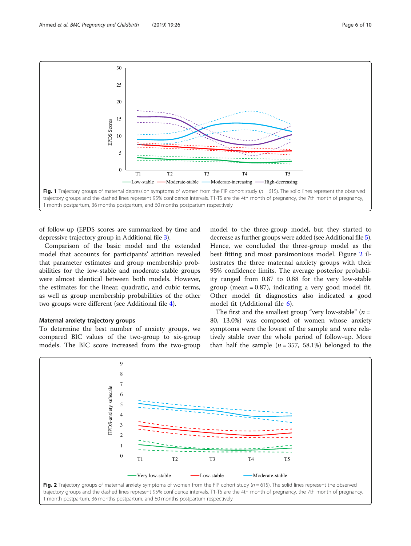of follow-up (EPDS scores are summarized by time and depressive trajectory group in Additional file [3](#page-8-0)).

Comparison of the basic model and the extended model that accounts for participants' attrition revealed that parameter estimates and group membership probabilities for the low-stable and moderate-stable groups were almost identical between both models. However, the estimates for the linear, quadratic, and cubic terms, as well as group membership probabilities of the other two groups were different (see Additional file [4](#page-8-0)).

## Maternal anxiety trajectory groups

To determine the best number of anxiety groups, we compared BIC values of the two-group to six-group models. The BIC score increased from the two-group

model to the three-group model, but they started to decrease as further groups were added (see Additional file [5](#page-8-0)). Hence, we concluded the three-group model as the best fitting and most parsimonious model. Figure 2 illustrates the three maternal anxiety groups with their 95% confidence limits. The average posterior probability ranged from 0.87 to 0.88 for the very low-stable group (mean  $= 0.87$ ), indicating a very good model fit. Other model fit diagnostics also indicated a good model fit (Additional file [6](#page-8-0)).

The first and the smallest group "very low-stable" ( $n =$ 80, 13.0%) was composed of women whose anxiety symptoms were the lowest of the sample and were relatively stable over the whole period of follow-up. More than half the sample  $(n = 357, 58.1%)$  belonged to the



<span id="page-5-0"></span>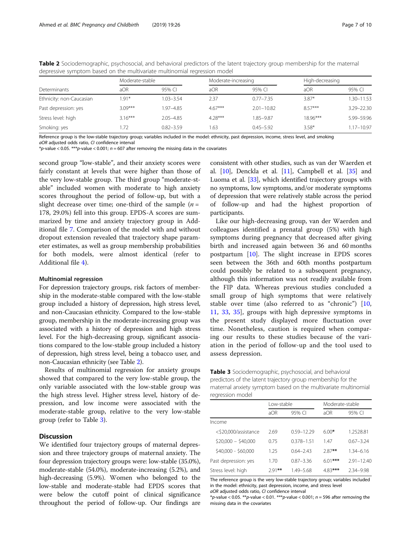|                          | Moderate-stable |               | Moderate-increasing |                | High-decreasing |                |
|--------------------------|-----------------|---------------|---------------------|----------------|-----------------|----------------|
| Determinants             | aOR             | 95% CI        | aOR                 | 95% CI         | aOR             | 95% CI         |
| Ethnicity: non-Caucasian | $.91*$          | $1.03 - 3.54$ | 2.37                | $0.77 - 7.35$  | $3.87*$         | 1.30-11.53     |
| Past depression: yes     | $3.09***$       | 1.97-4.85     | $4.67***$           | $2.01 - 10.82$ | $8.57***$       | 3.29-22.30     |
| Stress level: high       | $3.16***$       | $2.05 - 4.85$ | $4.28***$           | 1.85-9.87      | $18.96***$      | 5.99-59.96     |
| Smoking: yes             | 1.72            | $0.82 - 3.59$ | .63                 | $0.45 - 5.92$  | $3.58*$         | $1.17 - 10.97$ |

Table 2 Sociodemographic, psychosocial, and behavioral predictors of the latent trajectory group membership for the maternal depressive symptom based on the multivariate multinomial regression model

Reference group is the low-stable trajectory group; variables included in the model: ethnicity, past depression, income, stress level, and smoking aOR adjusted odds ratio, CI confidence interval

\*p-value < 0.05. \*\*\*p-value < 0.001;  $n = 607$  after removing the missing data in the covariates

second group "low-stable", and their anxiety scores were fairly constant at levels that were higher than those of the very low-stable group. The third group "moderate-stable" included women with moderate to high anxiety scores throughout the period of follow-up, but with a slight decrease over time; one-third of the sample  $(n =$ 178, 29.0%) fell into this group. EPDS-A scores are summarized by time and anxiety trajectory group in Additional file [7.](#page-8-0) Comparison of the model with and without dropout extension revealed that trajectory shape parameter estimates, as well as group membership probabilities for both models, were almost identical (refer to Additional file [4](#page-8-0)).

### Multinomial regression

For depression trajectory groups, risk factors of membership in the moderate-stable compared with the low-stable group included a history of depression, high stress level, and non-Caucasian ethnicity. Compared to the low-stable group, membership in the moderate-increasing group was associated with a history of depression and high stress level. For the high-decreasing group, significant associations compared to the low-stable group included a history of depression, high stress level, being a tobacco user, and non-Caucasian ethnicity (see Table 2).

Results of multinomial regression for anxiety groups showed that compared to the very low-stable group, the only variable associated with the low-stable group was the high stress level. Higher stress level, history of depression, and low income were associated with the moderate-stable group, relative to the very low-stable group (refer to Table 3).

## **Discussion**

We identified four trajectory groups of maternal depression and three trajectory groups of maternal anxiety. The four depression trajectory groups were: low-stable (35.0%), moderate-stable (54.0%), moderate-increasing (5.2%), and high-decreasing (5.9%). Women who belonged to the low-stable and moderate-stable had EPDS scores that were below the cutoff point of clinical significance throughout the period of follow-up. Our findings are

consistent with other studies, such as van der Waerden et al. [\[10\]](#page-8-0), Denckla et al. [\[11\]](#page-8-0), Campbell et al. [\[35](#page-9-0)] and Luoma et al. [\[33\]](#page-9-0), which identified trajectory groups with no symptoms, low symptoms, and/or moderate symptoms of depression that were relatively stable across the period of follow-up and had the highest proportion of participants.

Like our high-decreasing group, van der Waerden and colleagues identified a prenatal group (5%) with high symptoms during pregnancy that decreased after giving birth and increased again between 36 and 60 months postpartum [[10\]](#page-8-0). The slight increase in EPDS scores seen between the 36th and 60th months postpartum could possibly be related to a subsequent pregnancy, although this information was not readily available from the FIP data. Whereas previous studies concluded a small group of high symptoms that were relatively stable over time (also referred to as "chronic") [\[10](#page-8-0), [11,](#page-8-0) [33](#page-9-0), [35](#page-9-0)], groups with high depressive symptoms in the present study displayed more fluctuation over time. Nonetheless, caution is required when comparing our results to these studies because of the variation in the period of follow-up and the tool used to assess depression.

Table 3 Sociodemographic, psychosocial, and behavioral predictors of the latent trajectory group membership for the maternal anxiety symptom based on the multivariate multinomial regression model

|                      | Low-stable |                | Moderate-stable |                |
|----------------------|------------|----------------|-----------------|----------------|
|                      | AOR        | 95% CI         | aOR             | 95% CI         |
| Income               |            |                |                 |                |
| <\$20,000/assistance | 2.69       | 0.59-12.29     | $600*$          | 1.2528.81      |
| $$20,000 - $40,000$  | 0.75       | $0.378 - 1.51$ | 147             | $0.67 - 3.24$  |
| \$40,000 - \$60,000  | 1.25       | $0.64 - 2.43$  | 2.87**          | $1.34 - 6.16$  |
| Past depression: yes | 1.70       | $0.87 - 3.36$  | $6.01***$       | $2.91 - 12.40$ |
| Stress level: high   | $7.91**$   | 1.49-5.68      | 483***          | 2.34-9.98      |

The reference group is the very low-stable trajectory group; variables included in the model: ethnicity, past depression, income, and stress level aOR adjusted odds ratio, CI confidence interval

\*p-value < 0.05. \*\*p-value < 0.01. \*\*\*p-value < 0.001;  $n = 596$  after removing the missing data in the covariates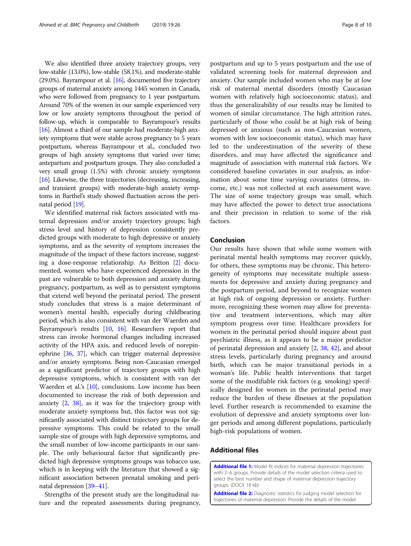<span id="page-7-0"></span>We also identified three anxiety trajectory groups, very low-stable (13.0%), low-stable (58.1%), and moderate-stable (29.0%). Bayrampour et al.  $[16]$  $[16]$ , documented five trajectory groups of maternal anxiety among 1445 women in Canada, who were followed from pregnancy to 1 year postpartum. Around 70% of the women in our sample experienced very low or low anxiety symptoms throughout the period of follow-up, which is comparable to Bayrampour's results [[16](#page-8-0)]. Almost a third of our sample had moderate-high anxiety symptoms that were stable across pregnancy to 5 years postpartum, whereas Bayrampour et al., concluded two groups of high anxiety symptoms that varied over time; antepartum and postpartum groups. They also concluded a very small group (1.5%) with chronic anxiety symptoms [[16](#page-8-0)]. Likewise, the three trajectories (decreasing, increasing, and transient groups) with moderate-high anxiety symptoms in Barthel's study showed fluctuation across the perinatal period [\[19](#page-9-0)].

We identified maternal risk factors associated with maternal depression and/or anxiety trajectory groups; high stress level and history of depression consistently predicted groups with moderate to high depressive or anxiety symptoms, and as the severity of symptom increases the magnitude of the impact of these factors increase, suggesting a dose-response relationship. As Britton [\[2\]](#page-8-0) documented, women who have experienced depression in the past are vulnerable to both depression and anxiety during pregnancy, postpartum, as well as to persistent symptoms that extend well beyond the perinatal period. The present study concludes that stress is a major determinant of women's mental health, especially during childbearing period, which is also consistent with van der Waerden and Bayrampour's results [\[10](#page-8-0), [16\]](#page-8-0). Researchers report that stress can invoke hormonal changes including increased activity of the HPA axis, and reduced levels of norepinephrine [[36](#page-9-0), [37\]](#page-9-0), which can trigger maternal depressive and/or anxiety symptoms. Being non-Caucasian emerged as a significant predictor of trajectory groups with high depressive symptoms, which is consistent with van der Waerden et al.'s [\[10\]](#page-8-0), conclusions. Low income has been documented to increase the risk of both depression and anxiety [\[2,](#page-8-0) [38\]](#page-9-0), as it was for the trajectory group with moderate anxiety symptoms but, this factor was not significantly associated with distinct trajectory groups for depressive symptoms. This could be related to the small sample size of groups with high depressive symptoms, and the small number of low-income participants in our sample. The only behavioural factor that significantly predicted high depressive symptoms groups was tobacco use, which is in keeping with the literature that showed a significant association between prenatal smoking and perinatal depression [\[39](#page-9-0)–[41](#page-9-0)].

Strengths of the present study are the longitudinal nature and the repeated assessments during pregnancy, postpartum and up to 5 years postpartum and the use of validated screening tools for maternal depression and anxiety. Our sample included women who may be at low risk of maternal mental disorders (mostly Caucasian women with relatively high socioeconomic status), and thus the generalizability of our results may be limited to women of similar circumstance. The high attrition rates, particularly of those who could be at high risk of being depressed or anxious (such as non-Caucasian women, women with low socioeconomic status), which may have led to the underestimation of the severity of these disorders, and may have affected the significance and magnitude of association with maternal risk factors. We considered baseline covariates in our analysis, as information about some time varying covariates (stress, income, etc.) was not collected at each assessment wave. The size of some trajectory groups was small, which may have affected the power to detect true associations and their precision in relation to some of the risk factors.

## Conclusion

Our results have shown that while some women with perinatal mental health symptoms may recover quickly, for others, these symptoms may be chronic. This heterogeneity of symptoms may necessitate multiple assessments for depressive and anxiety during pregnancy and the postpartum period, and beyond to recognize women at high risk of ongoing depression or anxiety. Furthermore, recognizing these women may allow for preventative and treatment interventions, which may alter symptom progress over time. Healthcare providers for women in the perinatal period should inquire about past psychiatric illness, as it appears to be a major predictor of perinatal depression and anxiety [\[2](#page-8-0), [38](#page-9-0), [42](#page-9-0)], and about stress levels, particularly during pregnancy and around birth, which can be major transitional periods in a woman's life. Public health interventions that target some of the modifiable risk factors (e.g. smoking) specifically designed for women in the perinatal period may reduce the burden of these illnesses at the population level. Further research is recommended to examine the evolution of depressive and anxiety symptoms over longer periods and among different populations, particularly high-risk populations of women.

## Additional files

[Additional file 1:](https://doi.org/10.1186/s12884-019-2177-y) Model fit indices for maternal depression trajectories with 2–6 groups. Provide details of the model selection criteria used to select the best number and shape of maternal depression trajectory groups. (DOCX 18 kb)

[Additional file 2:](https://doi.org/10.1186/s12884-019-2177-y) Diagnostic statistics for judging model selection for trajectories of maternal depression. Provide the details of the model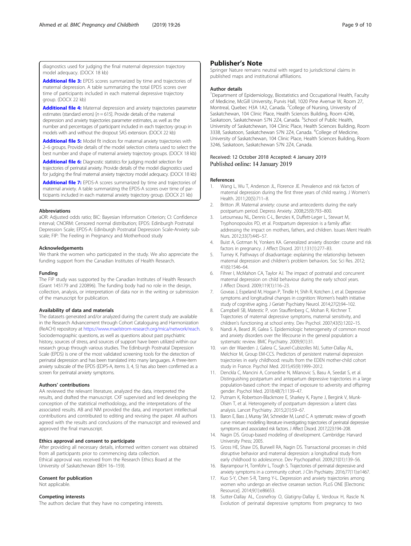<span id="page-8-0"></span>diagnostics used for judging the final maternal depression trajectory model adequacy. (DOCX 18 kb)

[Additional file 3:](https://doi.org/10.1186/s12884-019-2177-y) EPDS scores summarized by time and trajectories of maternal depression. A table summarizing the total EPDS scores over time of participants included in each maternal depressive trajectory group. (DOCX 22 kb)

[Additional file 4:](https://doi.org/10.1186/s12884-019-2177-y) Maternal depression and anxiety trajectories parameter estimates (standard errors)  $[n = 615]$ . Provide details of the maternal depression and anxiety trajectories parameter estimates, as well as the number and percentages of participant included in each trajectory group in models with and without the dropout SAS extension. (DOCX 22 kb)

[Additional file 5:](https://doi.org/10.1186/s12884-019-2177-y) Model fit indices for maternal anxiety trajectories with 2–6 groups. Provide details of the model selection criteria used to select the best number and shape of maternal anxiety trajectory groups. (DOCX 18 kb)

[Additional file 6:](https://doi.org/10.1186/s12884-019-2177-y) Diagnostic statistics for judging model selection for trajectories of perinatal anxiety. Provide details of the model diagnostics used for judging the final maternal anxiety trajectory model adequacy. (DOCX 18 kb)

[Additional file 7:](https://doi.org/10.1186/s12884-019-2177-y) EPDS-A scores summarized by time and trajectories of maternal anxiety. A table summarizing the EPDS-A scores over time of participants included in each maternal anxiety trajectory group. (DOCX 21 kb)

#### Abbreviations

aOR: Adjusted odds ratio; BIC: Bayesian Information Criterion; CI: Confidence interval; CNORM: Censored normal distribution; EPDS: Edinburgh Postnatal Depression Scale; EPDS-A: Edinburgh Postnatal Depression Scale-Anxiety subscale; FIP: The Feeling in Pregnancy and Motherhood study

#### Acknowledgements

We thank the women who participated in the study. We also appreciate the funding support from the Canadian Institutes of Health Research.

#### Funding

The FIP study was supported by the Canadian Institutes of Health Research (Grant 145179 and 220896). The funding body had no role in the design, collection, analysis, or interpretation of data nor in the writing or submission of the manuscript for publication.

#### Availability of data and materials

The datasets generated and/or analyzed during the current study are available in the Research Advancement through Cohort Cataloguing and Harmonization (ReACH) repository at <https://www.maelstrom-research.org/mica/network/reach>. Sociodemographic questions, as well as questions about past psychiatric history, sources of stress, and sources of support have been utilized within our research group through various studies. The Edinburgh Postnatal Depression Scale (EPDS) is one of the most validated screening tools for the detection of perinatal depression and has been translated into many languages. A three-item anxiety subscale of the EPDS (EDPS-A, items 3, 4, 5) has also been confirmed as a screen for perinatal anxiety symptoms.

#### Authors' contributions

AA reviewed the relevant literature, analyzed the data, interpreted the results, and drafted the manuscript. CXF supervised and led developing the conception of the statistical methodology, and the interpretations of the associated results. AB and NM provided the data, and important intellectual contributions and contributed to editing and revising the paper. All authors agreed with the results and conclusions of the manuscript and reviewed and approved the final manuscript.

### Ethics approval and consent to participate

After providing all necessary details, informed written consent was obtained from all participants prior to commencing data collection. Ethical approval was received from the Research Ethics Board at the University of Saskatchewan (BEH 16–159).

#### Consent for publication

Not applicable.

## Competing interests

The authors declare that they have no competing interests.

## Publisher's Note

Springer Nature remains neutral with regard to jurisdictional claims in published maps and institutional affiliations.

#### Author details

<sup>1</sup>Department of Epidemiology, Biostatistics and Occupational Health, Faculty of Medicine, McGill University, Purvis Hall, 1020 Pine Avenue W, Room 27, Montreal, Quebec H3A 1A2, Canada. <sup>2</sup>College of Nursing, University of Saskatchewan, 104 Clinic Place, Health Sciences Building, Room 4246, Saskatoon, Saskatchewan S7N 2Z4, Canada. <sup>3</sup>School of Public Health, University of Saskatchewan, 104 Clinic Place, Health Sciences Building, Room 3338, Saskatoon, Saskatchewan S7N 2Z4, Canada. <sup>4</sup> College of Medicine, University of Saskatchewan, 104 Clinic Place, Health Sciences Building, Room 3246, Saskatoon, Saskatchewan S7N 2Z4, Canada.

## Received: 12 October 2018 Accepted: 4 January 2019 Published online: 14 January 2019

#### References

- 1. Wang L, Wu T, Anderson JL, Florence JE. Prevalence and risk factors of maternal depression during the first three years of child rearing. J Women's Health. 2011;20(5):711–8.
- 2. Britton JR. Maternal anxiety: course and antecedents during the early postpartum period. Depress Anxiety. 2008;25(9):793–800.
- 3. Letourneau NL, Dennis C-L, Benzies K, Duffett-Leger L, Stewart M, Tryphonopoulos PD, et al. Postpartum depression is a family affair: addressing the impact on mothers, fathers, and children. Issues Ment Health Nurs. 2012;33(7):445–57.
- 4. Buist A, Gotman N, Yonkers KA. Generalized anxiety disorder: course and risk factors in pregnancy. J Affect Disord. 2011;131(1):277–83.
- Turney K. Pathways of disadvantage: explaining the relationship between maternal depression and children's problem behaviors. Soc Sci Res. 2012; 41(6):1546–64.
- 6. Fihrer I, McMahon CA, Taylor AJ. The impact of postnatal and concurrent maternal depression on child behaviour during the early school years. J Affect Disord. 2009;119(1):116–23.
- 7. Goveas J, Espeland M, Hogan P, Tindle H, Shih R, Kotchen J, et al. Depressive symptoms and longitudinal changes in cognition: Women's health initiative study of cognitive aging. J Geriatr Psychiatry Neurol. 2014;27(2):94–102.
- 8. Campbell SB, Matestic P, von Stauffenberg C, Mohan R, Kirchner T. Trajectories of maternal depressive symptoms, maternal sensitivity, and children's functioning at school entry. Dev Psychol. 2007;43(5):1202–15.
- 9. Nandi A, Beard JR, Galea S. Epidemiologic heterogeneity of common mood and anxiety disorders over the lifecourse in the general population: a systematic review. BMC Psychiatry. 2009;9(1):31.
- 10. van der Waerden J, Galera C, Saurel-Cubizolles MJ, Sutter-Dallay AL, Melchior M, Group EM-CCS. Predictors of persistent maternal depression trajectories in early childhood: results from the EDEN mother-child cohort study in France. Psychol Med. 2015;45(9):1999–2012.
- 11. Denckla C, Mancini A, Consedine N, Milanovic S, Basu A, Seedat S, et al. Distinguishing postpartum and antepartum depressive trajectories in a large population-based cohort: the impact of exposure to adversity and offspring gender. Psychol Med. 2018;48(7):1139–47.
- 12. Putnam K, Robertson-Blackmore E, Sharkey K, Payne J, Bergink V, Munk-Olsen T, et al. Heterogeneity of postpartum depression: a latent class analysis. Lancet Psychiatry. 2015;2(1):59–67.
- 13. Baron E, Bass J, Murray SM, Schneider M, Lund C. A systematic review of growth curve mixture modelling literature investigating trajectories of perinatal depressive symptoms and associated risk factors. J Affect Disord. 2017;223:194–208.
- 14. Nagin DS. Group-based modeling of development. Cambridge: Harvard University Press; 2005.
- 15. Gross HE, Shaw DS, Burwell RA, Nagin DS. Transactional processes in child disruptive behavior and maternal depression: a longitudinal study from early childhood to adolescence. Dev Psychopathol. 2009;21(01):139–56.
- 16. Bayrampour H, Tomfohr L, Tough S. Trajectories of perinatal depressive and anxiety symptoms in a community cohort. J Clin Psychiatry. 2016;77(11):e1467.
- 17. Kuo S-Y, Chen S-R, Tzeng Y-L. Depression and anxiety trajectories among women who undergo an elective cesarean section. PLoS ONE [Electronic Resource]. 2014;9(1):e86653.
- 18. Sutter-Dallay AL, Cosnefroy O, Glatigny-Dallay E, Verdoux H, Rascle N. Evolution of perinatal depressive symptoms from pregnancy to two